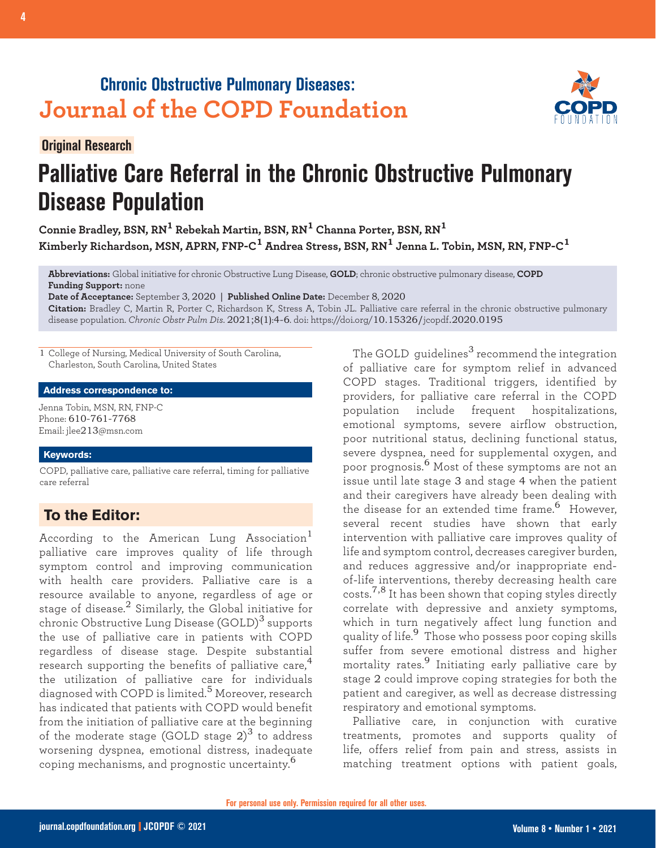# **Chronic Obstructive Pulmonary Diseases: Journal of the COPD Foundation**



## **Original Research**

# **Palliative Care Referral in the Chronic Obstructive Pulmonary Disease Population**

**Connie Bradley, BSN, RN1 Rebekah Martin, BSN, RN1 Channa Porter, BSN, RN<sup>1</sup> Kimberly Richardson, MSN, APRN, FNP-C1 Andrea Stress, BSN, RN1 Jenna L. Tobin, MSN, RN, FNP-C<sup>1</sup>**

**Abbreviations:** Global initiative for chronic Obstructive Lung Disease, **GOLD**; chronic obstructive pulmonary disease, **COPD Funding Support:** none

**Date of Acceptance:** September 3, 2020 | **Published Online Date:** December 8, 2020

**Citation:** Bradley C, Martin R, Porter C, Richardson K, Stress A, Tobin JL. Palliative care referral in the chronic obstructive pulmonary disease population. *Chronic Obstr Pulm Dis*. 2021;8(1):4-6. doi: https://doi.org/10.15326/jcopdf.2020.0195

1 College of Nursing, Medical University of South Carolina, Charleston, South Carolina, United States

#### **Address correspondence to:**

Jenna Tobin, MSN, RN, FNP-C Phone: 610-761-7768 Email: jlee213@msn.com

#### **Keywords:**

COPD, palliative care, palliative care referral, timing for palliative care referral

# **To the Editor:**

According to the American Lung Association $^{\mathrm{1}}$ palliative care improves quality of life through symptom control and improving communication with health care providers. Palliative care is a resource available to anyone, regardless of age or stage of disease. $^2$  Similarly, the Global initiative for chronic Obstructive Lung Disease (GOLD)<sup>3</sup> supports the use of palliative care in patients with COPD regardless of disease stage. Despite substantial research supporting the benefits of palliative care, $4$ the utilization of palliative care for individuals diagnosed with COPD is limited.5 Moreover, research has indicated that patients with COPD would benefit from the initiation of palliative care at the beginning of the moderate stage (GOLD stage  $2)^3$  to address worsening dyspnea, emotional distress, inadequate coping mechanisms, and prognostic uncertainty.<sup>6</sup>

The GOLD quidelines<sup>3</sup> recommend the integration of palliative care for symptom relief in advanced COPD stages. Traditional triggers, identified by providers, for palliative care referral in the COPD population include frequent hospitalizations, emotional symptoms, severe airflow obstruction, poor nutritional status, declining functional status, severe dyspnea, need for supplemental oxygen, and poor prognosis.6 Most of these symptoms are not an issue until late stage 3 and stage 4 when the patient and their caregivers have already been dealing with the disease for an extended time frame.<sup>6</sup> However, several recent studies have shown that early intervention with palliative care improves quality of life and symptom control, decreases caregiver burden, and reduces aggressive and/or inappropriate endof-life interventions, thereby decreasing health care costs.<sup>7,8</sup> It has been shown that coping styles directly correlate with depressive and anxiety symptoms, which in turn negatively affect lung function and quality of life.<sup>9</sup> Those who possess poor coping skills suffer from severe emotional distress and higher mortality rates.9 Initiating early palliative care by stage 2 could improve coping strategies for both the patient and caregiver, as well as decrease distressing respiratory and emotional symptoms.

Palliative care, in conjunction with curative treatments, promotes and supports quality of life, offers relief from pain and stress, assists in matching treatment options with patient goals,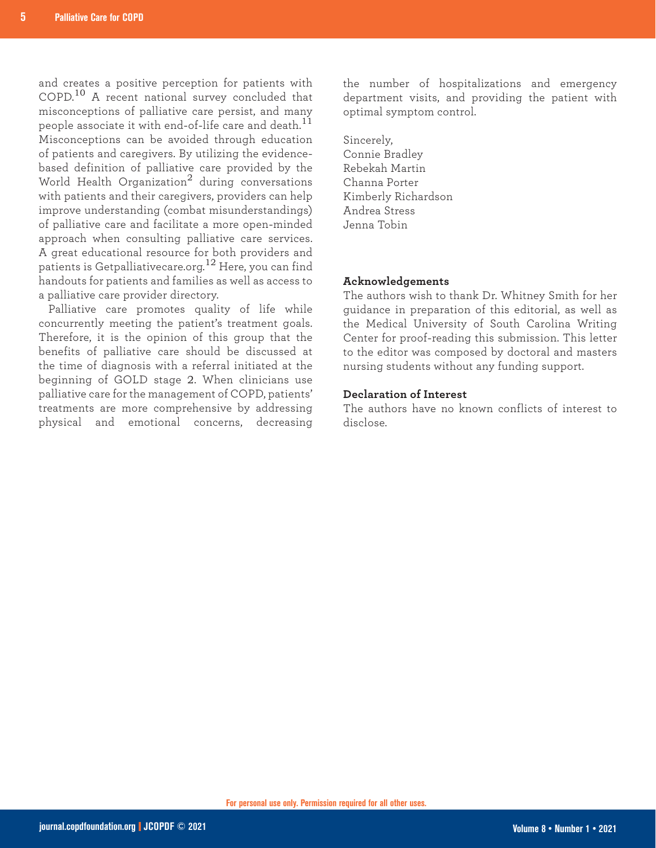and creates a positive perception for patients with COPD.10 A recent national survey concluded that misconceptions of palliative care persist, and many people associate it with end-of-life care and death.<sup>11</sup> Misconceptions can be avoided through education of patients and caregivers. By utilizing the evidencebased definition of palliative care provided by the World Health Organization<sup>2</sup> during conversations with patients and their caregivers, providers can help improve understanding (combat misunderstandings) of palliative care and facilitate a more open-minded approach when consulting palliative care services. A great educational resource for both providers and patients is Getpalliativecare.org.12 Here, you can find handouts for patients and families as well as access to a palliative care provider directory.

Palliative care promotes quality of life while concurrently meeting the patient's treatment goals. Therefore, it is the opinion of this group that the benefits of palliative care should be discussed at the time of diagnosis with a referral initiated at the beginning of GOLD stage 2. When clinicians use palliative care for the management of COPD, patients' treatments are more comprehensive by addressing physical and emotional concerns, decreasing the number of hospitalizations and emergency department visits, and providing the patient with optimal symptom control.

Sincerely, Connie Bradley Rebekah Martin Channa Porter Kimberly Richardson Andrea Stress Jenna Tobin

### **Acknowledgements**

The authors wish to thank Dr. Whitney Smith for her guidance in preparation of this editorial, as well as the Medical University of South Carolina Writing Center for proof-reading this submission. This letter to the editor was composed by doctoral and masters nursing students without any funding support.

### **Declaration of Interest**

The authors have no known conflicts of interest to disclose.